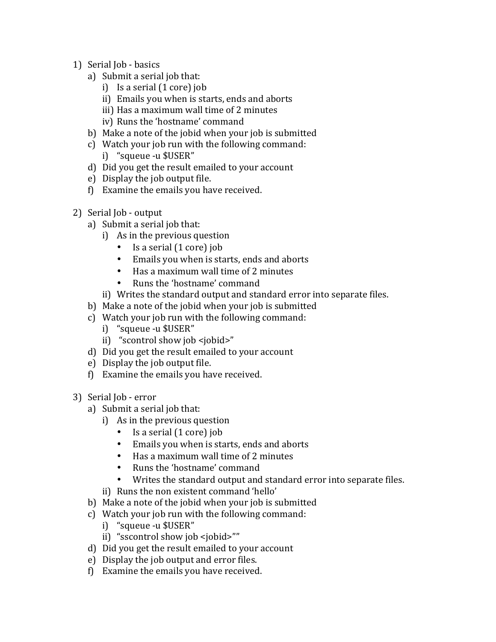- 1) Serial Job basics
	- a) Submit a serial job that:
		- i) Is a serial  $(1 \text{ core})$  job
		- ii) Emails you when is starts, ends and aborts
		- iii) Has a maximum wall time of 2 minutes
		- iv) Runs the 'hostname' command
	- b) Make a note of the jobid when your job is submitted
	- c) Watch your job run with the following command:
		- i) "squeue -u \$USER"
	- d) Did you get the result emailed to your account
	- e) Display the job output file.
	- f) Examine the emails you have received.
- 2) Serial Job output
	- a) Submit a serial job that:
		- i) As in the previous question
			- Is a serial  $(1 \text{ core})$  job
			- Emails you when is starts, ends and aborts
			- Has a maximum wall time of 2 minutes
			- Runs the 'hostname' command
		- ii) Writes the standard output and standard error into separate files.
	- b) Make a note of the jobid when your job is submitted
	- c) Watch your job run with the following command:
		- i) "squeue -u \$USER"
		- ii) "scontrol show job <jobid>"
	- d) Did you get the result emailed to your account
	- e) Display the job output file.
	- $f$ ) Examine the emails you have received.
- 3) Serial Job error
	- a) Submit a serial job that:
		- i) As in the previous question
			- Is a serial  $(1 \text{ core})$  job
			- Emails you when is starts, ends and aborts
			- Has a maximum wall time of 2 minutes
			- Runs the 'hostname' command
			- Writes the standard output and standard error into separate files.
		- ii) Runs the non existent command 'hello'
	- b) Make a note of the jobid when your job is submitted
	- c) Watch your job run with the following command:
		- i) "squeue -u \$USER"
		- ii) "sscontrol show job <jobid>""
	- d) Did you get the result emailed to your account
	- e) Display the job output and error files.
	- $f$ ) Examine the emails you have received.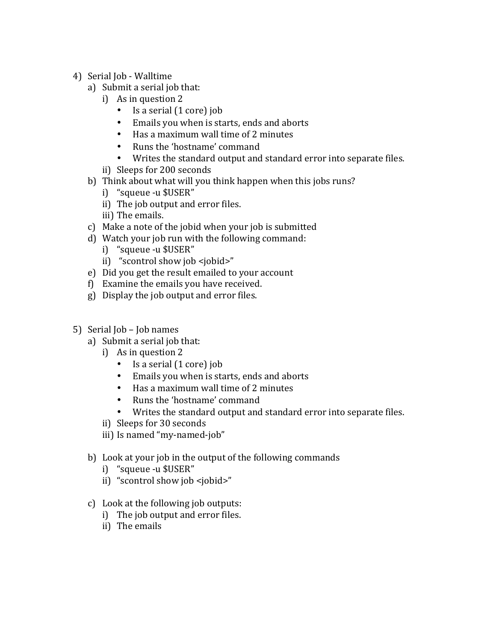- 4) Serial Job Walltime
	- a) Submit a serial job that:
		- i) As in question  $2$ 
			- Is a serial  $(1 \text{ core})$  job
			- Emails you when is starts, ends and aborts
			- Has a maximum wall time of 2 minutes
			- Runs the 'hostname' command
			- Writes the standard output and standard error into separate files.
		- ii) Sleeps for 200 seconds
	- b) Think about what will you think happen when this jobs runs?
		- i) "squeue -u \$USER"
		- ii) The job output and error files.
		- iii) The emails.
	- c) Make a note of the jobid when your job is submitted
	- d) Watch your job run with the following command:
		- i) "squeue -u \$USER"
		- ii) "scontrol show job <jobid>"
	- e) Did you get the result emailed to your account
	- $f$  Examine the emails you have received.
	- g) Display the job output and error files.
- 5) Serial  $\text{Job}$   $\text{Job}$  names
	- a) Submit a serial job that:
		- i) As in question  $2$ 
			- Is a serial  $(1 \text{ core})$  job
			- Emails you when is starts, ends and aborts
			- Has a maximum wall time of 2 minutes
			- Runs the 'hostname' command
			- Writes the standard output and standard error into separate files.
		- ii) Sleeps for 30 seconds
		- iii) Is named "my-named-job"
	- b) Look at your job in the output of the following commands
		- i) "squeue -u \$USER"
		- ii) "scontrol show job <jobid>"
	- c) Look at the following job outputs:
		- i) The job output and error files.
		- ii) The emails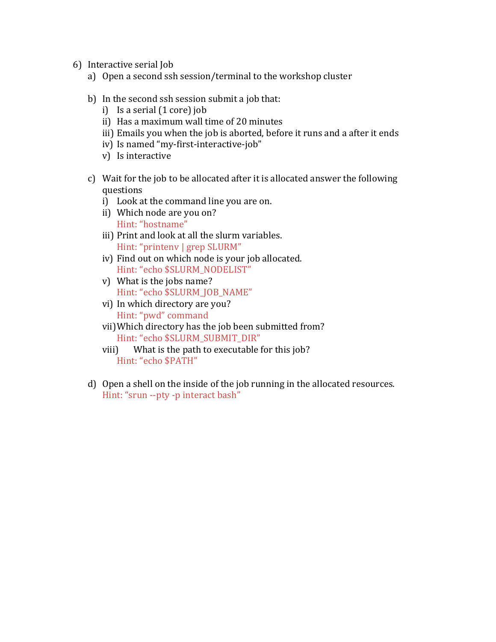- 6) Interactive serial Job
	- a) Open a second ssh session/terminal to the workshop cluster
	- b) In the second  $\text{ssh}$  session submit a job that:
		- i) Is a serial  $(1 \text{ core})$  job
		- ii) Has a maximum wall time of 20 minutes
		- iii) Emails you when the job is aborted, before it runs and a after it ends
		- iv) Is named "my-first-interactive-job"
		- v) Is interactive
	- c) Wait for the job to be allocated after it is allocated answer the following questions
		- i) Look at the command line you are on.
		- ii) Which node are you on? Hint: "hostname"
		- iii) Print and look at all the slurm variables. Hint: "printenv | grep SLURM"
		- iv) Find out on which node is your job allocated. Hint: "echo \$SLURM\_NODELIST"
		- v) What is the jobs name? Hint: "echo \$SLURM\_JOB\_NAME"
		- vi) In which directory are you? Hint: "pwd" command
		- vii) Which directory has the job been submitted from? Hint: "echo \$SLURM\_SUBMIT\_DIR"
		- viii) What is the path to executable for this job? Hint: "echo \$PATH"
	- d) Open a shell on the inside of the job running in the allocated resources. Hint: "srun --pty -p interact bash"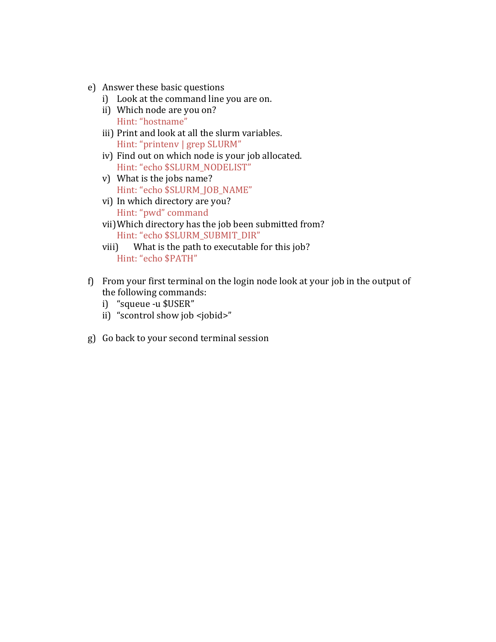- e) Answer these basic questions
	- i) Look at the command line you are on.
	- ii) Which node are you on? Hint: "hostname"
	- iii) Print and look at all the slurm variables. Hint: "printenv | grep SLURM"
	- iv) Find out on which node is your job allocated. Hint: "echo \$SLURM\_NODELIST"
	- v) What is the jobs name? Hint: "echo \$SLURM\_JOB\_NAME"
	- vi) In which directory are you? Hint: "pwd" command
	- vii) Which directory has the job been submitted from? Hint: "echo \$SLURM\_SUBMIT\_DIR"
	- viii) What is the path to executable for this job? Hint: "echo \$PATH"
- f) From your first terminal on the login node look at your job in the output of the following commands:
	- i) "squeue -u \$USER"
	- ii) "scontrol show job <jobid>"
- g) Go back to your second terminal session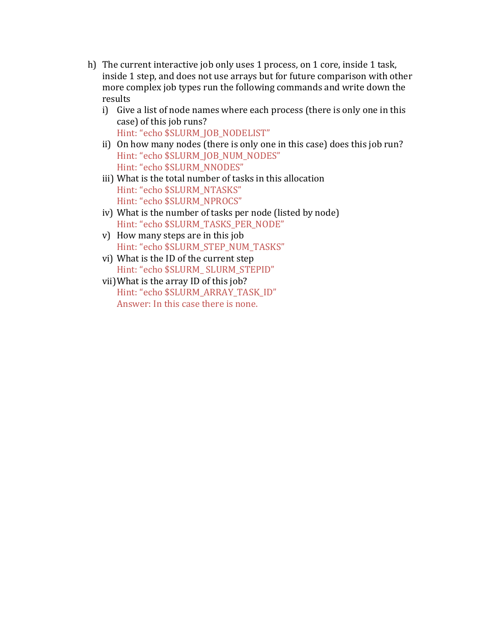- h) The current interactive job only uses 1 process, on 1 core, inside 1 task, inside 1 step, and does not use arrays but for future comparison with other more complex job types run the following commands and write down the results
	- i) Give a list of node names where each process (there is only one in this case) of this job runs? Hint: "echo \$SLURM\_JOB\_NODELIST"
	- ii) On how many nodes (there is only one in this case) does this job run? Hint: "echo \$SLURM\_JOB\_NUM\_NODES" Hint: "echo \$SLURM\_NNODES"
	- iii) What is the total number of tasks in this allocation Hint: "echo \$SLURM\_NTASKS" Hint: "echo \$SLURM\_NPROCS"
	- iv) What is the number of tasks per node (listed by node) Hint: "echo \$SLURM\_TASKS\_PER\_NODE"
	- v) How many steps are in this job Hint: "echo \$SLURM\_STEP\_NUM\_TASKS"
	- vi) What is the ID of the current step Hint: "echo \$SLURM\_ SLURM\_STEPID"
	- vii) What is the array ID of this job? Hint: "echo \$SLURM\_ARRAY\_TASK\_ID" Answer: In this case there is none.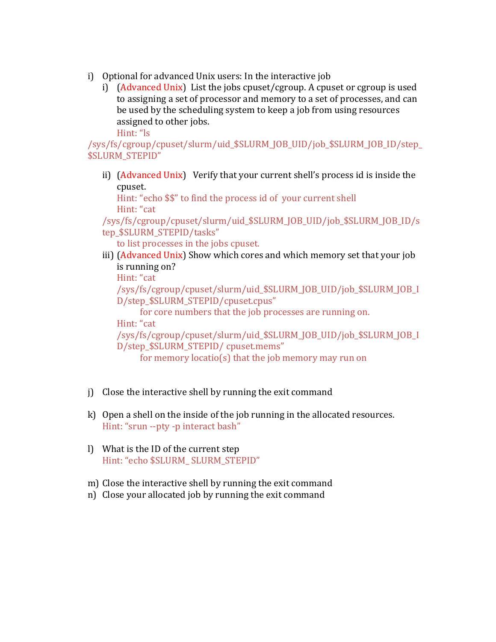- i) Optional for advanced Unix users: In the interactive job
	- i)  $(Advanced Unix)$  List the jobs cpuset/cgroup. A cpuset or cgroup is used to assigning a set of processor and memory to a set of processes, and can be used by the scheduling system to keep a job from using resources assigned to other jobs.

Hint: "ls

/sys/fs/cgroup/cpuset/slurm/uid\_\$SLURM\_JOB\_UID/job\_\$SLURM\_JOB\_ID/step\_ \$SLURM\_STEPID"

ii) (Advanced Unix) Verify that your current shell's process id is inside the cpuset. 

Hint: "echo \$\$" to find the process id of your current shell Hint: "cat

/sys/fs/cgroup/cpuset/slurm/uid\_\$SLURM\_JOB\_UID/job\_\$SLURM\_JOB\_ID/s tep \$SLURM\_STEPID/tasks"

to list processes in the jobs cpuset.

iii) (Advanced Unix) Show which cores and which memory set that your job is running on?

Hint: "cat

/sys/fs/cgroup/cpuset/slurm/uid\_\$SLURM\_JOB\_UID/job\_\$SLURM\_JOB\_I D/step\_\$SLURM\_STEPID/cpuset.cpus" 

for core numbers that the job processes are running on.

Hint: "cat

/sys/fs/cgroup/cpuset/slurm/uid\_\$SLURM\_JOB\_UID/job\_\$SLURM\_JOB\_I D/step\_\$SLURM\_STEPID/ cpuset.mems" 

for memory locatio(s) that the job memory may run on

- $j)$  Close the interactive shell by running the exit command
- k) Open a shell on the inside of the job running in the allocated resources. Hint: "srun --pty -p interact bash"
- l) What is the ID of the current step Hint: "echo \$SLURM\_SLURM\_STEPID"
- m) Close the interactive shell by running the exit command
- n) Close your allocated job by running the exit command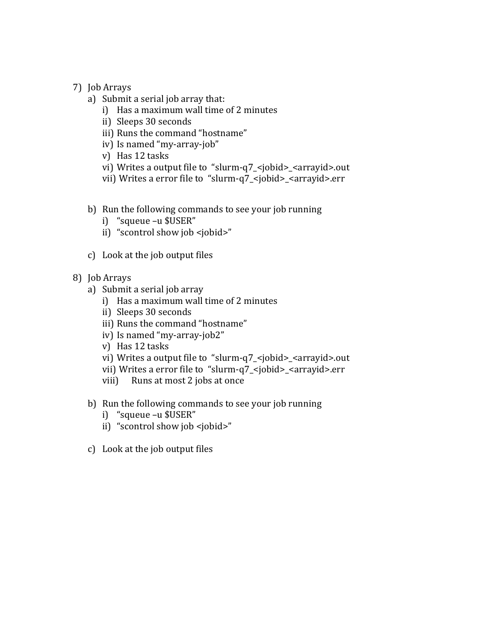- 7) Job Arrays
	- a) Submit a serial job array that:
		- i) Has a maximum wall time of 2 minutes
		- ii) Sleeps 30 seconds
		- iii) Runs the command "hostname"
		- iv) Is named "my-array-job"
		- v) Has 12 tasks
		- vi) Writes a output file to "slurm-q7\_<jobid>\_<arrayid>.out
		- vii) Writes a error file to "slurm-q7\_<jobid>\_<arrayid>.err
	- b) Run the following commands to see your job running
		- i) "squeue -u \$USER"
		- ii) "scontrol show job <jobid>"
	- c) Look at the job output files
- 8) Job Arrays
	- a) Submit a serial job array
		- i) Has a maximum wall time of 2 minutes
		- ii) Sleeps 30 seconds
		- iii) Runs the command "hostname"
		- iv) Is named "my-array-job2"
		- v) Has 12 tasks
		- vi) Writes a output file to "slurm-q7\_<jobid>\_<arrayid>.out
		- vii) Writes a error file to "slurm-q7\_<jobid>\_<arrayid>.err
		- viii) Runs at most 2 jobs at once
	- b) Run the following commands to see your job running
		- i) "squeue -u \$USER"
		- ii) "scontrol show job <jobid>"
	- c) Look at the job output files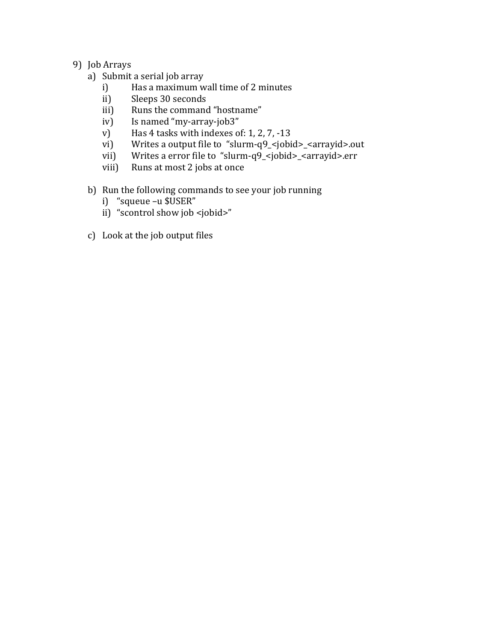# 9) Job Arrays

- a) Submit a serial job array
	- i) Has a maximum wall time of 2 minutes
	- ii) Sleeps 30 seconds
	- iii) Runs the command "hostname"
	- iv) Is named "my-array-job3"
	- v) Has  $4$  tasks with indexes of: 1, 2, 7, -13
	- vi) Writes a output file to "slurm-q9\_<jobid>\_<arrayid>.out
	- vii) Writes a error file to "slurm-q9\_<jobid>\_<arrayid>.err
	- viii) Runs at most 2 jobs at once

# b) Run the following commands to see your job running

- i) "squeue -u \$USER"
- ii) "scontrol show job <jobid>"
- c) Look at the job output files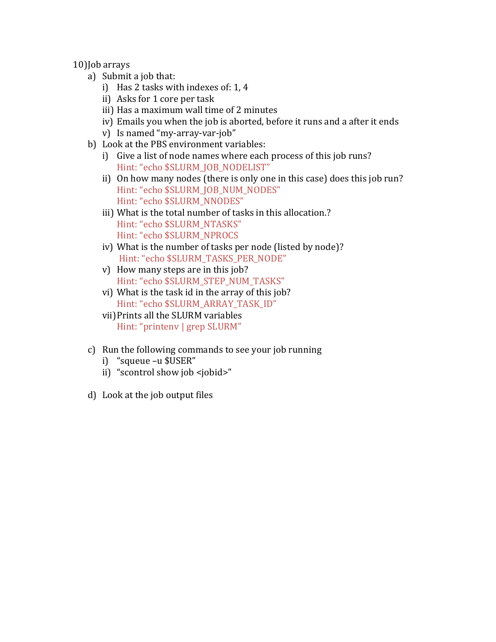10)Job arrays

- a) Submit a job that:
	- i) Has 2 tasks with indexes of:  $1, 4$
	- ii) Asks for 1 core per task
	- iii) Has a maximum wall time of 2 minutes
	- iv) Emails you when the job is aborted, before it runs and a after it ends
	- v) Is named "my-array-var-job"
- b) Look at the PBS environment variables:
	- i) Give a list of node names where each process of this job runs? Hint: "echo \$SLURM\_JOB\_NODELIST"
	- ii) On how many nodes (there is only one in this case) does this job run? Hint: "echo \$SLURM\_JOB\_NUM\_NODES" Hint: "echo \$SLURM\_NNODES"
	- iii) What is the total number of tasks in this allocation.? Hint: "echo \$SLURM\_NTASKS" Hint: "echo \$SLURM\_NPROCS
	- iv) What is the number of tasks per node (listed by node)? Hint: "echo \$SLURM\_TASKS\_PER\_NODE"
	- $v)$  How many steps are in this job? Hint: "echo \$SLURM\_STEP\_NUM\_TASKS"
	- vi) What is the task id in the array of this job? Hint: "echo \$SLURM\_ARRAY\_TASK\_ID"
	- vii) Prints all the SLURM variables Hint: "printenv | grep SLURM"
- c) Run the following commands to see your job running
	- i) "squeue -u \$USER"
	- ii) "scontrol show job <jobid>"
- d) Look at the job output files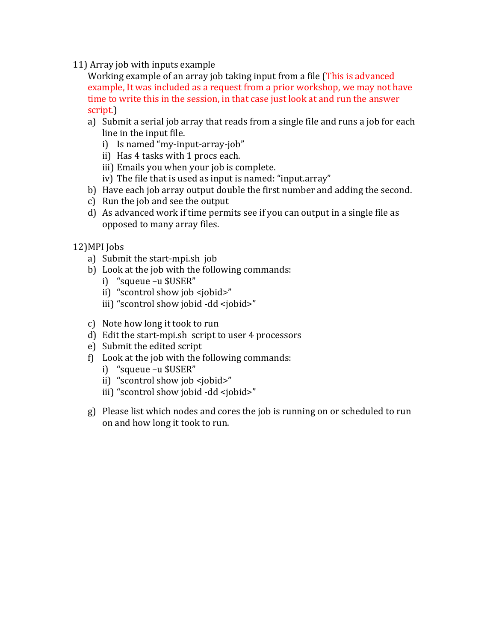11) Array job with inputs example

Working example of an array job taking input from a file (This is advanced example, It was included as a request from a prior workshop, we may not have time to write this in the session, in that case just look at and run the answer script.)

- a) Submit a serial job array that reads from a single file and runs a job for each line in the input file.
	- i) Is named "my-input-array-job"
	- ii) Has 4 tasks with 1 procs each.
	- iii) Emails you when your job is complete.
	- iv) The file that is used as input is named: "input.array"
- b) Have each job array output double the first number and adding the second.
- c) Run the job and see the output
- d) As advanced work if time permits see if you can output in a single file as opposed to many array files.
- 12) MPI Jobs
	- a) Submit the start-mpi.sh job
	- b) Look at the job with the following commands:
		- i) "squeue -u \$USER"
		- ii) "scontrol show job <jobid>"
		- iii) "scontrol show jobid -dd <jobid>"
	- c) Note how long it took to run
	- d) Edit the start-mpi.sh script to user 4 processors
	- e) Submit the edited script
	- f) Look at the job with the following commands:
		- i) "squeue -u \$USER"
		- ii) "scontrol show job <jobid>"
		- iii) "scontrol show jobid -dd <jobid>"
	- g) Please list which nodes and cores the job is running on or scheduled to run on and how long it took to run.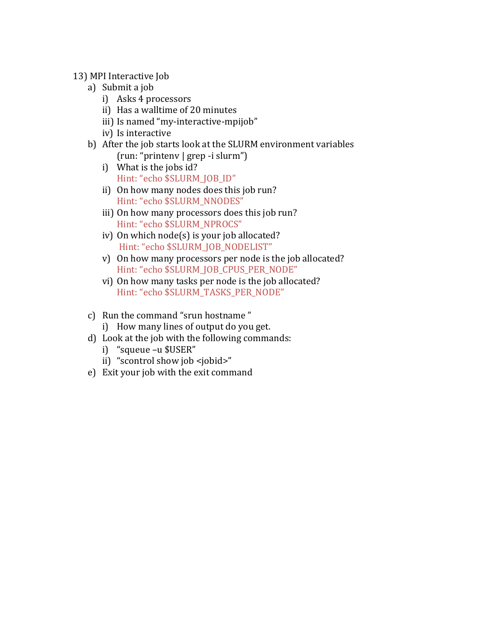- 13) MPI Interactive Job
	- a) Submit a job
		- i) Asks 4 processors
		- ii) Has a walltime of 20 minutes
		- iii) Is named "my-interactive-mpijob"
		- iv) Is interactive
	- b) After the job starts look at the SLURM environment variables (run: "printenv | grep -i slurm")
		- i) What is the jobs id? Hint: "echo \$SLURM\_JOB\_ID"
		- ii) On how many nodes does this job run? Hint: "echo \$SLURM\_NNODES"
		- iii) On how many processors does this job run? Hint: "echo \$SLURM\_NPROCS"
		- iv) On which node(s) is your job allocated? Hint: "echo \$SLURM\_JOB\_NODELIST"
		- v) On how many processors per node is the job allocated? Hint: "echo \$SLURM\_JOB\_CPUS\_PER\_NODE"
		- vi) On how many tasks per node is the job allocated? Hint: "echo \$SLURM\_TASKS\_PER\_NODE"
	- c) Run the command "srun hostname"
		- i) How many lines of output do you get.
	- d) Look at the job with the following commands:
		- i) "squeue -u \$USER"
		- ii) "scontrol show job <jobid>"
	- e) Exit your job with the exit command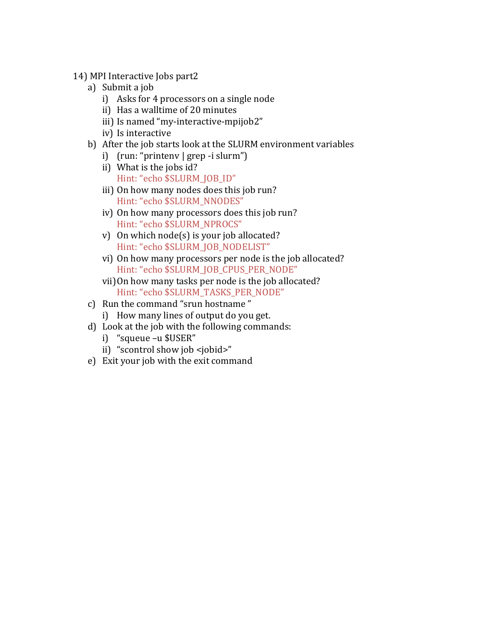- 14) MPI Interactive Jobs part2
	- a) Submit a job
		- $i)$  Asks for 4 processors on a single node
		- ii) Has a walltime of 20 minutes
		- iii) Is named "my-interactive-mpijob2"
		- iv) Is interactive
	- b) After the job starts look at the SLURM environment variables
		- i)  $(run: "printenv | prep -i slurm")$
		- ii) What is the jobs id? Hint: "echo \$SLURM\_JOB\_ID"
		- iii) On how many nodes does this job run? Hint: "echo \$SLURM\_NNODES"
		- iv) On how many processors does this job run? Hint: "echo \$SLURM\_NPROCS"
		- v) On which  $node(s)$  is your job allocated? Hint: "echo \$SLURM\_JOB\_NODELIST"
		- vi) On how many processors per node is the job allocated? Hint: "echo \$SLURM\_JOB\_CPUS\_PER\_NODE"
		- vii) On how many tasks per node is the job allocated? Hint: "echo \$SLURM\_TASKS\_PER\_NODE"
	- c) Run the command "srun hostname"
		- i) How many lines of output do you get.
	- d) Look at the job with the following commands:
		- i) "squeue -u \$USER"
		- ii) "scontrol show job <jobid>"
	- e) Exit your job with the exit command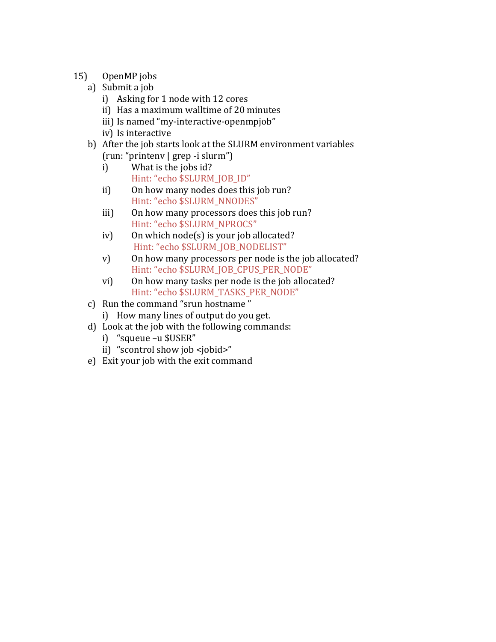- 15) OpenMP jobs
	- a) Submit a job
		- i) Asking for 1 node with 12 cores
		- ii) Has a maximum walltime of 20 minutes
		- iii) Is named "my-interactive-openmpjob"
		- iv) Is interactive
	- b) After the job starts look at the SLURM environment variables (run: "printenv | grep -i slurm")
		- i) What is the jobs id? Hint: "echo \$SLURM\_JOB\_ID"
		- ii) On how many nodes does this job run? Hint: "echo \$SLURM\_NNODES"
		- iii) On how many processors does this job run? Hint: "echo \$SLURM\_NPROCS"
		- iv) On which  $node(s)$  is your job allocated? Hint: "echo \$SLURM\_JOB\_NODELIST"
		- v) On how many processors per node is the job allocated? Hint: "echo \$SLURM\_JOB\_CPUS\_PER\_NODE"
		- vi) On how many tasks per node is the job allocated? Hint: "echo \$SLURM\_TASKS\_PER\_NODE"
	- c) Run the command "srun hostname"
		- i) How many lines of output do you get.
	- d) Look at the job with the following commands:
		- i) "squeue -u \$USER"
		- ii) "scontrol show job <jobid>"
	- e) Exit your job with the exit command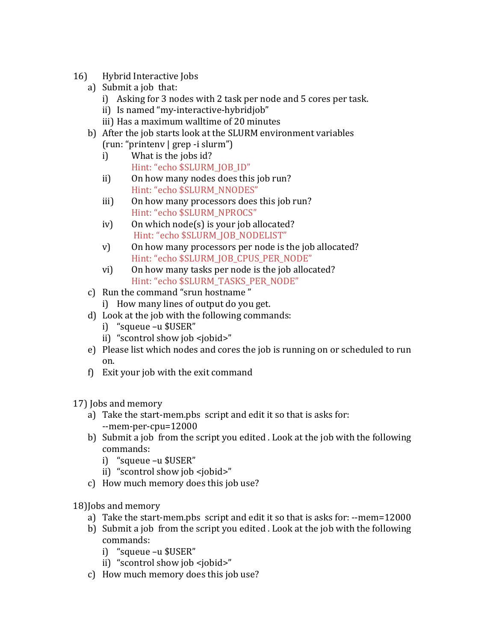- 16) Hybrid Interactive Jobs
	- a) Submit a job that:
		- i) Asking for 3 nodes with 2 task per node and 5 cores per task.
		- ii) Is named "my-interactive-hybridjob"
		- iii) Has a maximum walltime of 20 minutes
	- b) After the job starts look at the SLURM environment variables
		- (run: "printenv | grep -i slurm") i) What is the jobs id?
			- Hint: "echo \$SLURM\_JOB\_ID"
		- ii) On how many nodes does this job run? Hint: "echo \$SLURM\_NNODES"
		- iii) On how many processors does this job run? Hint: "echo \$SLURM\_NPROCS"
		- $iv)$  On which node(s) is your job allocated? Hint: "echo \$SLURM\_JOB\_NODELIST"
		- v) On how many processors per node is the job allocated? Hint: "echo \$SLURM\_JOB\_CPUS\_PER\_NODE"
		- vi) On how many tasks per node is the job allocated? Hint: "echo \$SLURM\_TASKS\_PER\_NODE"
	- c) Run the command "srun hostname"
		- i) How many lines of output do you get.
	- d) Look at the job with the following commands:
		- i) "squeue -u \$USER"
		- ii) "scontrol show job <jobid>"
	- e) Please list which nodes and cores the job is running on or scheduled to run on.
	- f) Exit your job with the exit command

17) Jobs and memory

- a) Take the start-mem.pbs script and edit it so that is asks for: --mem-per-cpu=12000
- b) Submit a job from the script you edited . Look at the job with the following commands:
	- i) "squeue -u \$USER"
	- ii) "scontrol show job <jobid>"
- c) How much memory does this job use?

18) Jobs and memory

- a) Take the start-mem.pbs script and edit it so that is asks for: --mem=12000
- b) Submit a job from the script you edited . Look at the job with the following commands:
	- i) "squeue -u \$USER"
	- ii) "scontrol show job <iobid>"
- c) How much memory does this job use?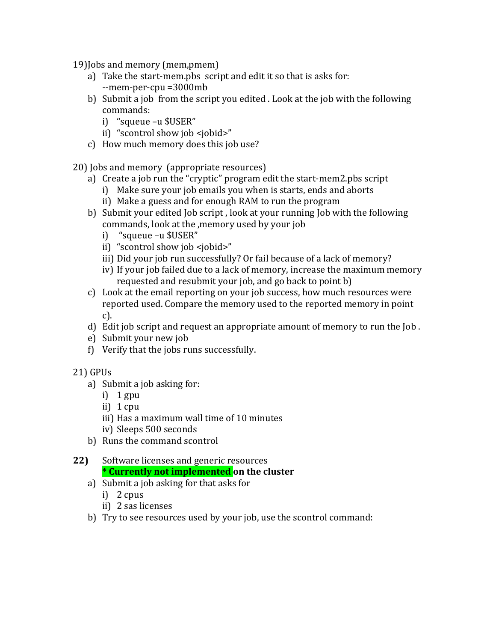19) Jobs and memory (mem, pmem)

- a) Take the start-mem.pbs script and edit it so that is asks for: --mem-per-cpu =3000mb
- b) Submit a job from the script you edited . Look at the job with the following commands:
	- i) "squeue -u \$USER"
	- ii) "scontrol show job <jobid>"
- c) How much memory does this job use?

20) Jobs and memory (appropriate resources)

- a) Create a job run the "cryptic" program edit the start-mem2.pbs script
	- i) Make sure your job emails you when is starts, ends and aborts
	- ii) Make a guess and for enough RAM to run the program
- b) Submit your edited Job script, look at your running Job with the following commands, look at the ,memory used by your job
	- i) "squeue –u \$USER"
	- ii) "scontrol show job <jobid>"
	- iii) Did your job run successfully? Or fail because of a lack of memory?
	- iv) If your job failed due to a lack of memory, increase the maximum memory requested and resubmit your job, and go back to point b)
- c) Look at the email reporting on your job success, how much resources were reported used. Compare the memory used to the reported memory in point c).
- d) Edit job script and request an appropriate amount of memory to run the  $\lceil \text{ob} \rceil$ .
- e) Submit your new job
- f) Verify that the jobs runs successfully.
- 21) GPUs
	- a) Submit a job asking for:
		- i)  $1$  gpu
		- ii)  $1$  cpu
		- iii) Has a maximum wall time of 10 minutes
		- iv) Sleeps 500 seconds
	- b) Runs the command scontrol

# **22)** Software licenses and generic resources **\* Currently not implemented on the cluster**

- a) Submit a job asking for that asks for
	- i)  $2 \text{ cups}$
	- ii) 2 sas licenses
- b) Try to see resources used by your job, use the scontrol command: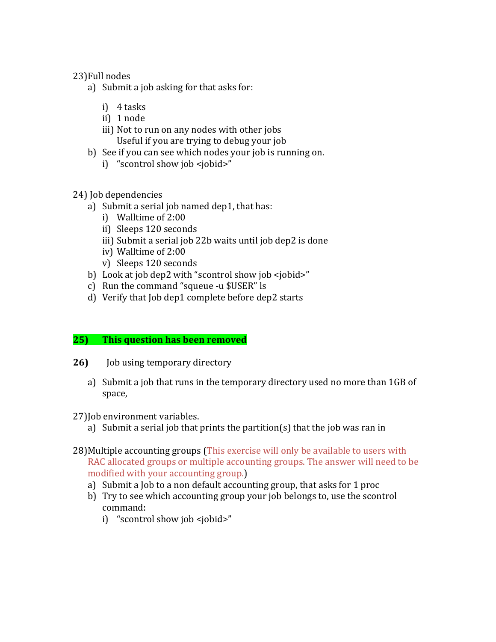### 23)Full nodes

- a) Submit a job asking for that asks for:
	- i) 4 tasks
	- ii) 1 node
	- iii) Not to run on any nodes with other jobs Useful if you are trying to debug your job
- b) See if you can see which nodes your job is running on.
	- i) "scontrol show job <jobid>"

# 24) Job dependencies

- a) Submit a serial job named  $dep1$ , that has:
	- i) Walltime of 2:00
	- ii) Sleeps 120 seconds
	- iii) Submit a serial job 22b waits until job dep2 is done
	- iv) Walltime of 2:00
	- v) Sleeps 120 seconds
- b) Look at job dep2 with "scontrol show job <jobid>"
- c) Run the command "squeue -u \$USER" ls
- d) Verify that Job dep1 complete before dep2 starts

# **25)** This question has been removed

- **26) Job** using temporary directory
	- a) Submit a job that runs in the temporary directory used no more than 1GB of space,
- 27) Job environment variables.
	- a) Submit a serial job that prints the partition(s) that the job was ran in
- 28) Multiple accounting groups (This exercise will only be available to users with RAC allocated groups or multiple accounting groups. The answer will need to be modified with your accounting group.)
	- a) Submit a Job to a non default accounting group, that asks for 1 proc
	- b) Try to see which accounting group your job belongs to, use the scontrol command:
		- i) "scontrol show job <jobid>"